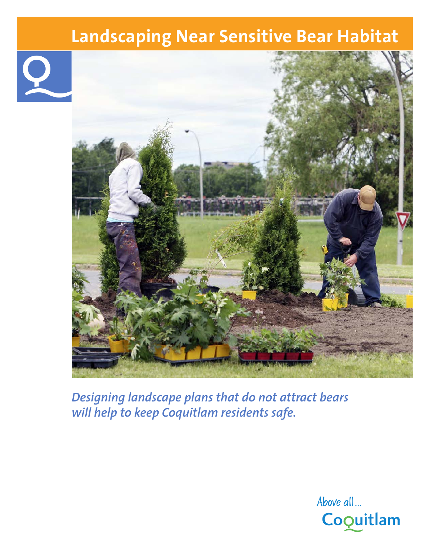# **Landscaping Near Sensitive Bear Habitat**





*Designing landscape plans that do not attract bears will help to keep Coquitlam residents safe.*

> **Above all ...** Coquitlam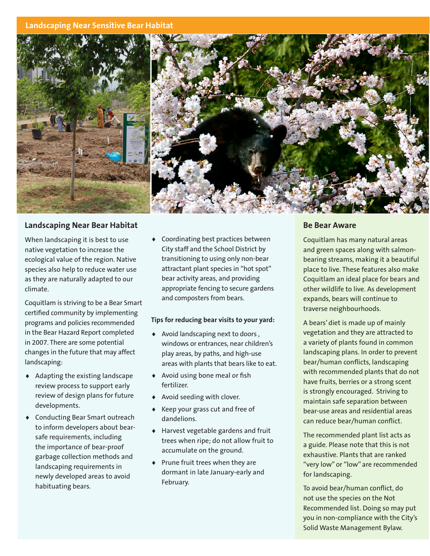### **Landscaping Near Sensitive Bear Habitat**



# **Landscaping Near Bear Habitat**

When landscaping it is best to use native vegetation to increase the ecological value of the region. Native species also help to reduce water use as they are naturally adapted to our climate.

Coquitlam is striving to be a Bear Smart certified community by implementing programs and policies recommended in the Bear Hazard Report completed in 2007. There are some potential changes in the future that may affect landscaping:

- ♦ Adapting the existing landscape review process to support early review of design plans for future developments.
- ♦ Conducting Bear Smart outreach to inform developers about bearsafe requirements, including the importance of bear-proof garbage collection methods and landscaping requirements in newly developed areas to avoid habituating bears.

♦ Coordinating best practices between City staff and the School District by transitioning to using only non-bear attractant plant species in "hot spot" bear activity areas, and providing appropriate fencing to secure gardens and composters from bears.

### **Tips for reducing bear visits to your yard:**

- ♦ Avoid landscaping next to doors , windows or entrances, near children's play areas, by paths, and high-use areas with plants that bears like to eat.
- ♦ Avoid using bone meal or fish fertilizer.
- ♦ Avoid seeding with clover.
- Keep your grass cut and free of dandelions.
- ♦ Harvest vegetable gardens and fruit trees when ripe; do not allow fruit to accumulate on the ground.
- ♦ Prune fruit trees when they are dormant in late January-early and February.

### **Be Bear Aware**

Coquitlam has many natural areas and green spaces along with salmonbearing streams, making it a beautiful place to live. These features also make Coquitlam an ideal place for bears and other wildlife to live. As development expands, bears will continue to traverse neighbourhoods.

A bears' diet is made up of mainly vegetation and they are attracted to a variety of plants found in common landscaping plans. In order to prevent bear/human conflicts, landscaping with recommended plants that do not have fruits, berries or a strong scent is strongly encouraged. Striving to maintain safe separation between bear-use areas and residential areas can reduce bear/human conflict.

The recommended plant list acts as a guide. Please note that this is not exhaustive. Plants that are ranked "very low" or "low" are recommended for landscaping.

To avoid bear/human conflict, do not use the species on the Not Recommended list. Doing so may put you in non-compliance with the City's Solid Waste Management Bylaw.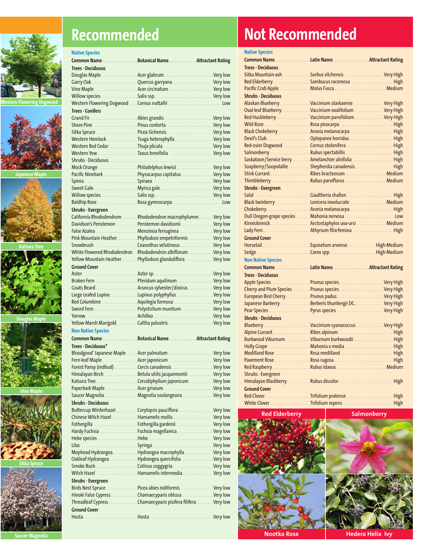



**Japanese Maple**



**Katsura Tree**



**Douglas Maple**



**Vine Maple**



**Sitka Spruce**



# **Recommended**

| <b>Native Species</b>     |                                                              |  |
|---------------------------|--------------------------------------------------------------|--|
|                           | Common Name Botanical Name Attractant Rating                 |  |
| Trees - Deciduous         |                                                              |  |
|                           | Douglas Maple  Acer glabrum Very low                         |  |
|                           |                                                              |  |
|                           |                                                              |  |
|                           |                                                              |  |
|                           |                                                              |  |
| <b>Trees - Conifers</b>   |                                                              |  |
|                           |                                                              |  |
|                           |                                                              |  |
|                           | Western Hemlock Tsuga heterophylla Very low                  |  |
|                           |                                                              |  |
|                           | Western Yew  Taxus brevifolia  Very low                      |  |
|                           |                                                              |  |
|                           | Mock Orange Philadelphus lewisii Very low                    |  |
|                           | Pacific Ninebark  Physocarpus capitatus Very low             |  |
|                           |                                                              |  |
|                           |                                                              |  |
|                           |                                                              |  |
|                           | Baldhip Rose  Rosa gymnocarpaLow                             |  |
| <b>Shrubs - Evergreen</b> |                                                              |  |
|                           | California Rhododendrom Rhododendron macrophylumm Very low   |  |
|                           | Davidson's Penstemon Penstemon davidsonii. Very low          |  |
|                           | False Azalea  Menziesia ferruginea Very low                  |  |
|                           | Pink Mountain Heather. Phyllodoce empetriformis Very low     |  |
|                           |                                                              |  |
|                           | White Flowered Rhododendron Rhododendron albiflorum Very low |  |
|                           | Yellow Mountain Heather  Phyllodoce glanduliflora Very low   |  |
| <b>Ground Cover</b>       |                                                              |  |
|                           |                                                              |  |
|                           | Braken Fern  Pteridum aquilinum Very low                     |  |
|                           |                                                              |  |
|                           | Large Leafed Lupine Lupinus polyphyllus Very low             |  |
|                           | Red Columbine  Aquilegia formosa  Very low                   |  |
|                           |                                                              |  |
|                           |                                                              |  |
|                           |                                                              |  |
| <b>Non Native Species</b> |                                                              |  |
| Common Name               | Botanical NameAttractant Rating                              |  |
| Trees - Deciduous*        |                                                              |  |
|                           |                                                              |  |
|                           |                                                              |  |
|                           | Forest Pansy (redbud)  Cercis canadensis  Very low           |  |
|                           | Himalayan Birch Betula utilis jacquemontii Very low          |  |
|                           |                                                              |  |
|                           | Saucer Magnolia Magnolia soulangeana Very low                |  |
| <b>Shrubs - Deciduous</b> |                                                              |  |
|                           | Buttercup Winterhazel Corylopsis pauciflora Very low         |  |
|                           |                                                              |  |
|                           | Fothergilla  Fothergilla gardenii  Very low                  |  |
|                           | Hardy Fuchsia Fuchsia magellanica. Very low                  |  |
|                           |                                                              |  |
|                           |                                                              |  |
|                           | Mophead Hydrangea. Hydrangea macrophylla Very low            |  |
|                           | Oakleaf Hydrangea  Hydrangea quercifolia Very low            |  |
|                           |                                                              |  |
|                           | Witch Hazel  Hamamelis intermedia  Very low                  |  |
| Shrubs - Evergreen        |                                                              |  |
|                           | Birds Nest Spruce  Picea abies nidiformis  Very low          |  |
|                           | Hinoki False Cypress. Chamaecyparis obtusa Very low          |  |
|                           | Threadleaf Cypress Chamaecyparis pisifera filifera Very low  |  |
| <b>Ground Cover</b>       |                                                              |  |
|                           |                                                              |  |

# **Not Recommended**

| <b>Native Species</b>                                 |  |
|-------------------------------------------------------|--|
| Common NameLatin NameAttractant Rating                |  |
| <b>Trees - Deciduous</b>                              |  |
| Sitka Mountain-ash  Sorbus sitchensis  Very High      |  |
| Red Elderberry. Sambucus racemosa High                |  |
|                                                       |  |
| <b>Shrubs - Deciduous</b>                             |  |
| Alaskan Blueberry. Vaccinium alaskaense Very High     |  |
| Oval-leaf Blueberry. Vaccinium ovalifolium. Very High |  |
| Red Huckleberry  Vaccinium parvifolium  Very High     |  |
| Wild Rose  Rosa pisocarpa High                        |  |
| Black Chokeberry  Aronia melanocarpa  High            |  |
| Devil's Club.  Oplopanex horridus.  High              |  |
|                                                       |  |
| Salmonberry Rubus spectabillis High                   |  |
| Saskatoon/Service berry  Amelanchier alnifolia  High  |  |
| Soapberry/Soopolallie Shepherdia canadensis  High     |  |
| Stink Currant Ribes bracteosum Medium                 |  |
| ThimbleberryRubus parviflorus Medium                  |  |
| <b>Shrubs - Evergreen</b>                             |  |
|                                                       |  |
|                                                       |  |
|                                                       |  |
| Dull Oregon-grape species Mahonia nervosa  Low        |  |
| Kinnickinnick  Arctostaphylos uva-ursi  Medium        |  |
|                                                       |  |
| <b>Ground Cover</b>                                   |  |
| Horsetail Equisetum arvenseHigh-Medium                |  |
|                                                       |  |
|                                                       |  |
| <b>Non Native Species</b>                             |  |
| Common NameLatin NameAttractant Rating                |  |
| <b>Trees - Deciduous</b>                              |  |
|                                                       |  |
| Cherry and Plum Species  Prunus species Very High     |  |
|                                                       |  |
| Japanese Barberry  Berberis thunbergii DC Very High   |  |
| Pear Species  Pyrus species  Very High                |  |
| <b>Shrubs - Deciduous</b>                             |  |
| Blueberry  Vaccinium cyanacoccus Very High            |  |
|                                                       |  |
| Burkwood ViburnumViburnum burkwoodii High             |  |
| Holly Grape  Mahonia x media  High                    |  |
| Medilland Rose Rosa medilland  High                   |  |
|                                                       |  |
|                                                       |  |
| <b>Shrubs - Evergreen</b>                             |  |
|                                                       |  |
|                                                       |  |
| <b>Ground Cover</b>                                   |  |
|                                                       |  |

**Red Elderberry**

**Salmonberry**



**Nootka Rose Hedera Helix Ivy** 

**Saucer Magnolia**